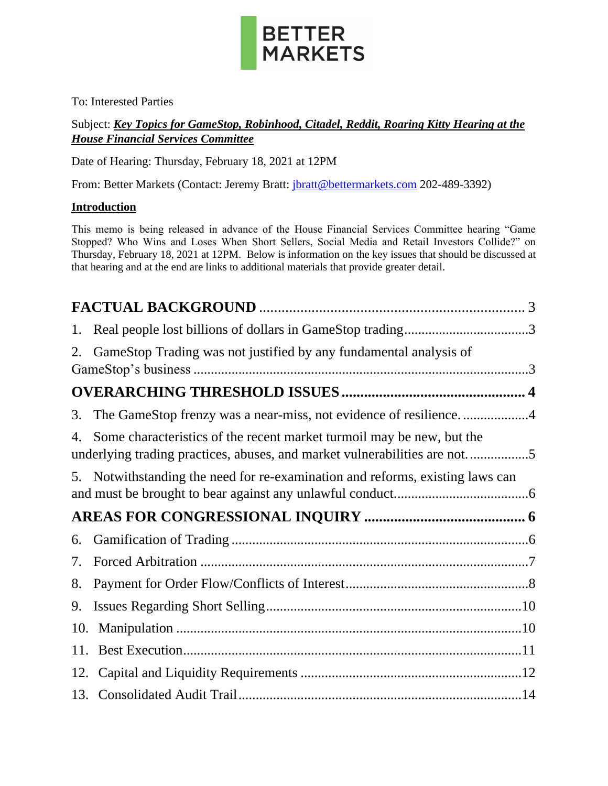

To: Interested Parties

### Subject: *Key Topics for GameStop, Robinhood, Citadel, Reddit, Roaring Kitty Hearing at the House Financial Services Committee*

Date of Hearing: Thursday, February 18, 2021 at 12PM

From: Better Markets (Contact: Jeremy Bratt: *jbratt@bettermarkets.com* 202-489-3392)

### **Introduction**

This memo is being released in advance of the House Financial Services Committee hearing "Game Stopped? Who Wins and Loses When Short Sellers, Social Media and Retail Investors Collide?" on Thursday, February 18, 2021 at 12PM. Below is information on the key issues that should be discussed at that hearing and at the end are links to additional materials that provide greater detail.

| 1.  |                                                                                                                                                    |
|-----|----------------------------------------------------------------------------------------------------------------------------------------------------|
| 2.  | GameStop Trading was not justified by any fundamental analysis of                                                                                  |
|     |                                                                                                                                                    |
| 3.  | The GameStop frenzy was a near-miss, not evidence of resilience4                                                                                   |
| 4.  | Some characteristics of the recent market turmoil may be new, but the<br>underlying trading practices, abuses, and market vulnerabilities are not5 |
|     | 5. Notwithstanding the need for re-examination and reforms, existing laws can                                                                      |
|     |                                                                                                                                                    |
| 6.  |                                                                                                                                                    |
| 7.  |                                                                                                                                                    |
| 8.  |                                                                                                                                                    |
| 9.  |                                                                                                                                                    |
| 10. |                                                                                                                                                    |
| 11. |                                                                                                                                                    |
| 12. |                                                                                                                                                    |
|     |                                                                                                                                                    |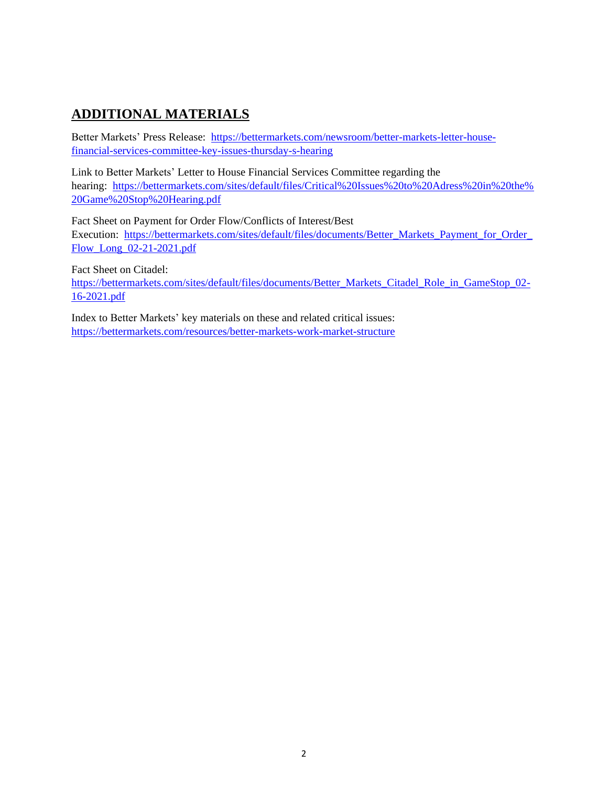# **ADDITIONAL MATERIALS**

Better Markets' Press Release: [https://bettermarkets.com/newsroom/better-markets-letter-house](https://bettermarkets.com/newsroom/better-markets-letter-house-financial-services-committee-key-issues-thursday-s-hearing)[financial-services-committee-key-issues-thursday-s-hearing](https://bettermarkets.com/newsroom/better-markets-letter-house-financial-services-committee-key-issues-thursday-s-hearing)

Link to Better Markets' Letter to House Financial Services Committee regarding the hearing: [https://bettermarkets.com/sites/default/files/Critical%20Issues%20to%20Adress%20in%20the%](https://bettermarkets.com/sites/default/files/Critical%20Issues%20to%20Adress%20in%20the%20Game%20Stop%20Hearing.pdf) [20Game%20Stop%20Hearing.pdf](https://bettermarkets.com/sites/default/files/Critical%20Issues%20to%20Adress%20in%20the%20Game%20Stop%20Hearing.pdf)

Fact Sheet on Payment for Order Flow/Conflicts of Interest/Best Execution: [https://bettermarkets.com/sites/default/files/documents/Better\\_Markets\\_Payment\\_for\\_Order\\_](https://bettermarkets.com/sites/default/files/documents/Better_Markets_Payment_for_Order_Flow_Long_02-21-2021.pdf) [Flow\\_Long\\_02-21-2021.pdf](https://bettermarkets.com/sites/default/files/documents/Better_Markets_Payment_for_Order_Flow_Long_02-21-2021.pdf)

Fact Sheet on Citadel:

[https://bettermarkets.com/sites/default/files/documents/Better\\_Markets\\_Citadel\\_Role\\_in\\_GameStop\\_02-](https://bettermarkets.com/sites/default/files/documents/Better_Markets_Citadel_Role_in_GameStop_02-16-2021.pdf) [16-2021.pdf](https://bettermarkets.com/sites/default/files/documents/Better_Markets_Citadel_Role_in_GameStop_02-16-2021.pdf)

Index to Better Markets' key materials on these and related critical issues: <https://bettermarkets.com/resources/better-markets-work-market-structure>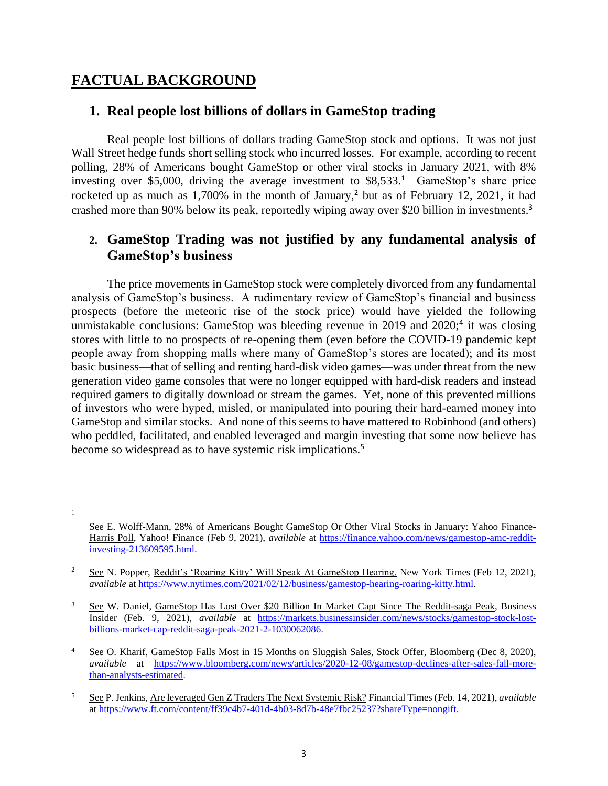## <span id="page-2-0"></span>**FACTUAL BACKGROUND**

## <span id="page-2-1"></span>**1. Real people lost billions of dollars in GameStop trading**

Real people lost billions of dollars trading GameStop stock and options. It was not just Wall Street hedge funds short selling stock who incurred losses. For example, according to recent polling, 28% of Americans bought GameStop or other viral stocks in January 2021, with 8% investing over \$5,000, driving the average investment to \$8,533.<sup>1</sup> GameStop's share price rocketed up as much as 1,700% in the month of January,<sup>2</sup> but as of February 12, 2021, it had crashed more than 90% below its peak, reportedly wiping away over \$20 billion in investments.<sup>3</sup>

### <span id="page-2-2"></span>**2. GameStop Trading was not justified by any fundamental analysis of GameStop's business**

The price movements in GameStop stock were completely divorced from any fundamental analysis of GameStop's business. A rudimentary review of GameStop's financial and business prospects (before the meteoric rise of the stock price) would have yielded the following unmistakable conclusions: GameStop was bleeding revenue in  $2019$  and  $2020$ ;<sup>4</sup> it was closing stores with little to no prospects of re-opening them (even before the COVID-19 pandemic kept people away from shopping malls where many of GameStop's stores are located); and its most basic business—that of selling and renting hard-disk video games—was under threat from the new generation video game consoles that were no longer equipped with hard-disk readers and instead required gamers to digitally download or stream the games. Yet, none of this prevented millions of investors who were hyped, misled, or manipulated into pouring their hard-earned money into GameStop and similar stocks. And none of this seems to have mattered to Robinhood (and others) who peddled, facilitated, and enabled leveraged and margin investing that some now believe has become so widespread as to have systemic risk implications.<sup>5</sup>

1

See E. Wolff-Mann, 28% of Americans Bought GameStop Or Other Viral Stocks in January: Yahoo Finance-Harris Poll, Yahoo! Finance (Feb 9, 2021), *available* at [https://finance.yahoo.com/news/gamestop-amc-reddit](https://finance.yahoo.com/news/gamestop-amc-reddit-investing-213609595.html)[investing-213609595.html.](https://finance.yahoo.com/news/gamestop-amc-reddit-investing-213609595.html)

<sup>&</sup>lt;sup>2</sup> See N. Popper, Reddit's 'Roaring Kitty' Will Speak At GameStop Hearing, New York Times (Feb 12, 2021), *available* a[t https://www.nytimes.com/2021/02/12/business/gamestop-hearing-roaring-kitty.html.](https://www.nytimes.com/2021/02/12/business/gamestop-hearing-roaring-kitty.html)

<sup>&</sup>lt;sup>3</sup> See W. Daniel, GameStop Has Lost Over \$20 Billion In Market Capt Since The Reddit-saga Peak, Business Insider (Feb. 9, 2021), *available* at [https://markets.businessinsider.com/news/stocks/gamestop-stock-lost](https://markets.businessinsider.com/news/stocks/gamestop-stock-lost-billions-market-cap-reddit-saga-peak-2021-2-1030062086)[billions-market-cap-reddit-saga-peak-2021-2-1030062086.](https://markets.businessinsider.com/news/stocks/gamestop-stock-lost-billions-market-cap-reddit-saga-peak-2021-2-1030062086) 

<sup>&</sup>lt;sup>4</sup> See O. Kharif, GameStop Falls Most in 15 Months on Sluggish Sales, Stock Offer, Bloomberg (Dec 8, 2020), *available* at [https://www.bloomberg.com/news/articles/2020-12-08/gamestop-declines-after-sales-fall-more](https://www.bloomberg.com/news/articles/2020-12-08/gamestop-declines-after-sales-fall-more-than-analysts-estimated)[than-analysts-estimated.](https://www.bloomberg.com/news/articles/2020-12-08/gamestop-declines-after-sales-fall-more-than-analysts-estimated) 

<sup>5</sup> See P. Jenkins, Are leveraged Gen Z Traders The Next Systemic Risk? Financial Times (Feb. 14, 2021), *available*  a[t https://www.ft.com/content/ff39c4b7-401d-4b03-8d7b-48e7fbc25237?shareType=nongift.](https://www.ft.com/content/ff39c4b7-401d-4b03-8d7b-48e7fbc25237?shareType=nongift)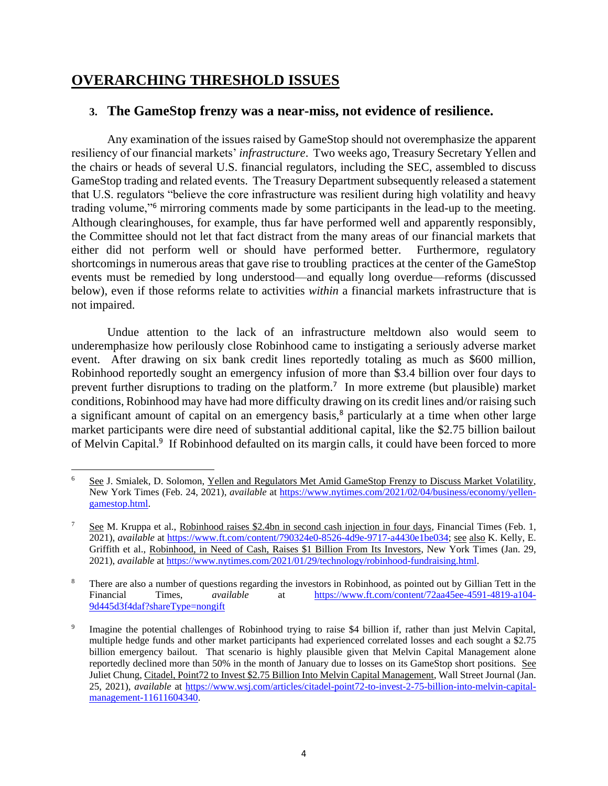## <span id="page-3-0"></span>**OVERARCHING THRESHOLD ISSUES**

### <span id="page-3-1"></span>**3. The GameStop frenzy was a near-miss, not evidence of resilience.**

Any examination of the issues raised by GameStop should not overemphasize the apparent resiliency of our financial markets' *infrastructure*. Two weeks ago, Treasury Secretary Yellen and the chairs or heads of several U.S. financial regulators, including the SEC, assembled to discuss GameStop trading and related events. The Treasury Department subsequently released a statement that U.S. regulators "believe the core infrastructure was resilient during high volatility and heavy trading volume,"<sup>6</sup> mirroring comments made by some participants in the lead-up to the meeting. Although clearinghouses, for example, thus far have performed well and apparently responsibly, the Committee should not let that fact distract from the many areas of our financial markets that either did not perform well or should have performed better. Furthermore, regulatory shortcomings in numerous areas that gave rise to troubling practices at the center of the GameStop events must be remedied by long understood—and equally long overdue—reforms (discussed below), even if those reforms relate to activities *within* a financial markets infrastructure that is not impaired.

Undue attention to the lack of an infrastructure meltdown also would seem to underemphasize how perilously close Robinhood came to instigating a seriously adverse market event. After drawing on six bank credit lines reportedly totaling as much as \$600 million, Robinhood reportedly sought an emergency infusion of more than \$3.4 billion over four days to prevent further disruptions to trading on the platform.<sup>7</sup> In more extreme (but plausible) market conditions, Robinhood may have had more difficulty drawing on its credit lines and/or raising such a significant amount of capital on an emergency basis,<sup>8</sup> particularly at a time when other large market participants were dire need of substantial additional capital, like the \$2.75 billion bailout of Melvin Capital.<sup>9</sup> If Robinhood defaulted on its margin calls, it could have been forced to more

<sup>&</sup>lt;sup>6</sup> See J. Smialek, D. Solomon, Yellen and Regulators Met Amid GameStop Frenzy to Discuss Market Volatility, New York Times (Feb. 24, 2021), *available* at [https://www.nytimes.com/2021/02/04/business/economy/yellen](https://www.nytimes.com/2021/02/04/business/economy/yellen-gamestop.html)[gamestop.html.](https://www.nytimes.com/2021/02/04/business/economy/yellen-gamestop.html)

<sup>7</sup> See M. Kruppa et al., Robinhood raises \$2.4bn in second cash injection in four days, Financial Times (Feb. 1, 2021), *available* at [https://www.ft.com/content/790324e0-8526-4d9e-9717-a4430e1be034;](https://www.ft.com/content/790324e0-8526-4d9e-9717-a4430e1be034) see also K. Kelly, E. Griffith et al., Robinhood, in Need of Cash, Raises \$1 Billion From Its Investors, New York Times (Jan. 29, 2021), *available* at [https://www.nytimes.com/2021/01/29/technology/robinhood-fundraising.html.](https://www.nytimes.com/2021/01/29/technology/robinhood-fundraising.html)

<sup>&</sup>lt;sup>8</sup> There are also a number of questions regarding the investors in Robinhood, as pointed out by Gillian Tett in the Financial Times, *available* at [https://www.ft.com/content/72aa45ee-4591-4819-a104-](https://www.ft.com/content/72aa45ee-4591-4819-a104-9d445d3f4daf?shareType=nongift) [9d445d3f4daf?shareType=nongift](https://www.ft.com/content/72aa45ee-4591-4819-a104-9d445d3f4daf?shareType=nongift)

<sup>9</sup> Imagine the potential challenges of Robinhood trying to raise \$4 billion if, rather than just Melvin Capital, multiple hedge funds and other market participants had experienced correlated losses and each sought a \$2.75 billion emergency bailout. That scenario is highly plausible given that Melvin Capital Management alone reportedly declined more than 50% in the month of January due to losses on its GameStop short positions. See Juliet Chung, Citadel, Point72 to Invest \$2.75 Billion Into Melvin Capital Management, Wall Street Journal (Jan. 25, 2021), *available* at [https://www.wsj.com/articles/citadel-point72-to-invest-2-75-billion-into-melvin-capital](https://www.wsj.com/articles/citadel-point72-to-invest-2-75-billion-into-melvin-capital-management-11611604340)[management-11611604340.](https://www.wsj.com/articles/citadel-point72-to-invest-2-75-billion-into-melvin-capital-management-11611604340)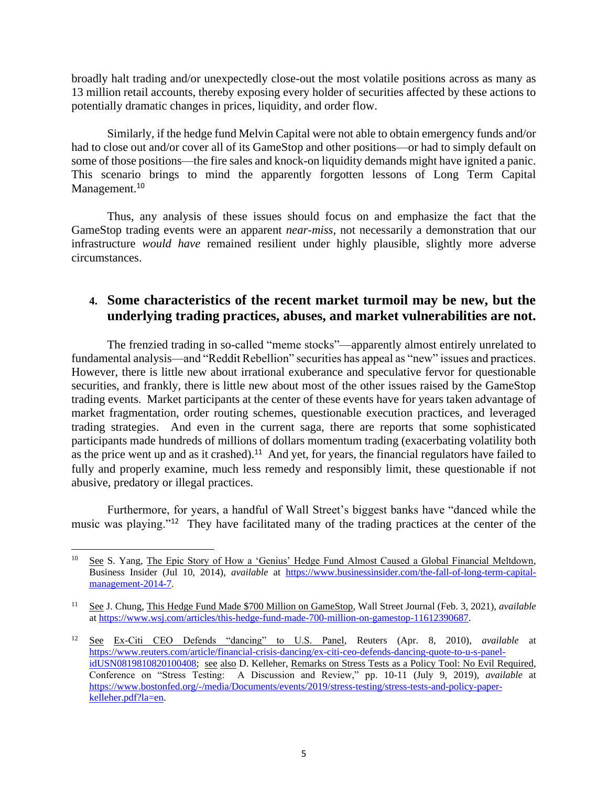broadly halt trading and/or unexpectedly close-out the most volatile positions across as many as 13 million retail accounts, thereby exposing every holder of securities affected by these actions to potentially dramatic changes in prices, liquidity, and order flow.

Similarly, if the hedge fund Melvin Capital were not able to obtain emergency funds and/or had to close out and/or cover all of its GameStop and other positions—or had to simply default on some of those positions—the fire sales and knock-on liquidity demands might have ignited a panic. This scenario brings to mind the apparently forgotten lessons of Long Term Capital Management.<sup>10</sup>

Thus, any analysis of these issues should focus on and emphasize the fact that the GameStop trading events were an apparent *near-miss*, not necessarily a demonstration that our infrastructure *would have* remained resilient under highly plausible, slightly more adverse circumstances.

### <span id="page-4-0"></span>**4. Some characteristics of the recent market turmoil may be new, but the underlying trading practices, abuses, and market vulnerabilities are not.**

The frenzied trading in so-called "meme stocks"—apparently almost entirely unrelated to fundamental analysis—and "Reddit Rebellion" securities has appeal as "new" issues and practices. However, there is little new about irrational exuberance and speculative fervor for questionable securities, and frankly, there is little new about most of the other issues raised by the GameStop trading events. Market participants at the center of these events have for years taken advantage of market fragmentation, order routing schemes, questionable execution practices, and leveraged trading strategies. And even in the current saga, there are reports that some sophisticated participants made hundreds of millions of dollars momentum trading (exacerbating volatility both as the price went up and as it crashed).<sup>11</sup> And yet, for years, the financial regulators have failed to fully and properly examine, much less remedy and responsibly limit, these questionable if not abusive, predatory or illegal practices.

Furthermore, for years, a handful of Wall Street's biggest banks have "danced while the music was playing."<sup>12</sup> They have facilitated many of the trading practices at the center of the

<sup>&</sup>lt;sup>10</sup> See S. Yang, The Epic Story of How a 'Genius' Hedge Fund Almost Caused a Global Financial Meltdown, Business Insider (Jul 10, 2014), *available* at [https://www.businessinsider.com/the-fall-of-long-term-capital](https://www.businessinsider.com/the-fall-of-long-term-capital-management-2014-7)[management-2014-7.](https://www.businessinsider.com/the-fall-of-long-term-capital-management-2014-7)

<sup>11</sup> See J. Chung, This Hedge Fund Made \$700 Million on GameStop, Wall Street Journal (Feb. 3, 2021), *available* a[t https://www.wsj.com/articles/this-hedge-fund-made-700-million-on-gamestop-11612390687.](https://www.wsj.com/articles/this-hedge-fund-made-700-million-on-gamestop-11612390687)

<sup>12</sup> See Ex-Citi CEO Defends "dancing" to U.S. Panel, Reuters (Apr. 8, 2010), *available* at [https://www.reuters.com/article/financial-crisis-dancing/ex-citi-ceo-defends-dancing-quote-to-u-s-panel](https://www.reuters.com/article/financial-crisis-dancing/ex-citi-ceo-defends-dancing-quote-to-u-s-panel-idUSN0819810820100408)[idUSN0819810820100408;](https://www.reuters.com/article/financial-crisis-dancing/ex-citi-ceo-defends-dancing-quote-to-u-s-panel-idUSN0819810820100408) see also D. Kelleher, Remarks on Stress Tests as a Policy Tool: No Evil Required, Conference on "Stress Testing: A Discussion and Review," pp. 10-11 (July 9, 2019), *available* at [https://www.bostonfed.org/-/media/Documents/events/2019/stress-testing/stress-tests-and-policy-paper](https://www.bostonfed.org/-/media/Documents/events/2019/stress-testing/stress-tests-and-policy-paper-kelleher.pdf?la=en)[kelleher.pdf?la=en.](https://www.bostonfed.org/-/media/Documents/events/2019/stress-testing/stress-tests-and-policy-paper-kelleher.pdf?la=en)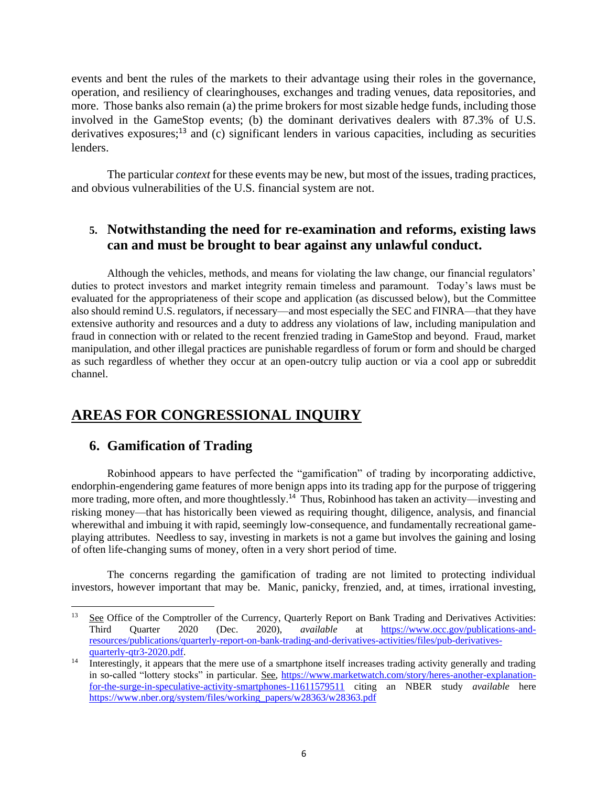events and bent the rules of the markets to their advantage using their roles in the governance, operation, and resiliency of clearinghouses, exchanges and trading venues, data repositories, and more. Those banks also remain (a) the prime brokers for most sizable hedge funds, including those involved in the GameStop events; (b) the dominant derivatives dealers with 87.3% of U.S. derivatives exposures; $^{13}$  and (c) significant lenders in various capacities, including as securities lenders.

The particular *context* for these events may be new, but most of the issues, trading practices, and obvious vulnerabilities of the U.S. financial system are not.

## <span id="page-5-0"></span>**5. Notwithstanding the need for re-examination and reforms, existing laws can and must be brought to bear against any unlawful conduct.**

Although the vehicles, methods, and means for violating the law change, our financial regulators' duties to protect investors and market integrity remain timeless and paramount. Today's laws must be evaluated for the appropriateness of their scope and application (as discussed below), but the Committee also should remind U.S. regulators, if necessary—and most especially the SEC and FINRA—that they have extensive authority and resources and a duty to address any violations of law, including manipulation and fraud in connection with or related to the recent frenzied trading in GameStop and beyond. Fraud, market manipulation, and other illegal practices are punishable regardless of forum or form and should be charged as such regardless of whether they occur at an open-outcry tulip auction or via a cool app or subreddit channel.

## <span id="page-5-1"></span>**AREAS FOR CONGRESSIONAL INQUIRY**

#### <span id="page-5-2"></span>**6. Gamification of Trading**

Robinhood appears to have perfected the "gamification" of trading by incorporating addictive, endorphin-engendering game features of more benign apps into its trading app for the purpose of triggering more trading, more often, and more thoughtlessly.<sup>14</sup> Thus, Robinhood has taken an activity—investing and risking money—that has historically been viewed as requiring thought, diligence, analysis, and financial wherewithal and imbuing it with rapid, seemingly low-consequence, and fundamentally recreational gameplaying attributes. Needless to say, investing in markets is not a game but involves the gaining and losing of often life-changing sums of money, often in a very short period of time.

The concerns regarding the gamification of trading are not limited to protecting individual investors, however important that may be. Manic, panicky, frenzied, and, at times, irrational investing,

<sup>&</sup>lt;sup>13</sup> See Office of the Comptroller of the Currency, Quarterly Report on Bank Trading and Derivatives Activities:<br>
Third Ouarter 2020 (Dec. 2020), *available* at https://www.occ.gov/publications-and-Third Quarter 2020 (Dec. 2020), *available* at [https://www.occ.gov/publications-and](https://www.occ.gov/publications-and-resources/publications/quarterly-report-on-bank-trading-and-derivatives-activities/files/pub-derivatives-quarterly-qtr3-2020.pdf)[resources/publications/quarterly-report-on-bank-trading-and-derivatives-activities/files/pub-derivatives](https://www.occ.gov/publications-and-resources/publications/quarterly-report-on-bank-trading-and-derivatives-activities/files/pub-derivatives-quarterly-qtr3-2020.pdf)[quarterly-qtr3-2020.pdf.](https://www.occ.gov/publications-and-resources/publications/quarterly-report-on-bank-trading-and-derivatives-activities/files/pub-derivatives-quarterly-qtr3-2020.pdf)

<sup>14</sup> Interestingly, it appears that the mere use of a smartphone itself increases trading activity generally and trading in so-called "lottery stocks" in particular. See, [https://www.marketwatch.com/story/heres-another-explanation](https://www.marketwatch.com/story/heres-another-explanation-for-the-surge-in-speculative-activity-smartphones-11611579511)[for-the-surge-in-speculative-activity-smartphones-11611579511](https://www.marketwatch.com/story/heres-another-explanation-for-the-surge-in-speculative-activity-smartphones-11611579511) citing an NBER study *available* here [https://www.nber.org/system/files/working\\_papers/w28363/w28363.pdf](https://www.nber.org/system/files/working_papers/w28363/w28363.pdf)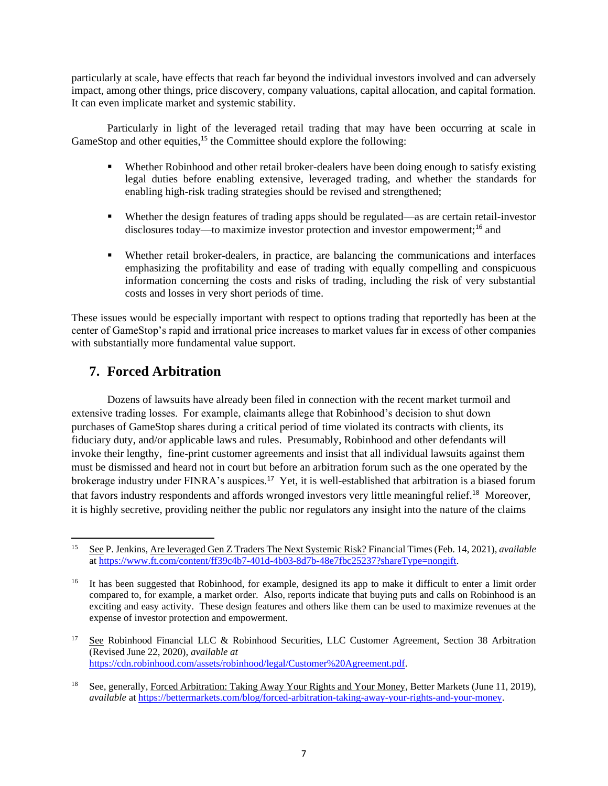particularly at scale, have effects that reach far beyond the individual investors involved and can adversely impact, among other things, price discovery, company valuations, capital allocation, and capital formation. It can even implicate market and systemic stability.

Particularly in light of the leveraged retail trading that may have been occurring at scale in GameStop and other equities,<sup>15</sup> the Committee should explore the following:

- Whether Robinhood and other retail broker-dealers have been doing enough to satisfy existing legal duties before enabling extensive, leveraged trading, and whether the standards for enabling high-risk trading strategies should be revised and strengthened;
- Whether the design features of trading apps should be regulated—as are certain retail-investor disclosures today—to maximize investor protection and investor empowerment;<sup>16</sup> and
- Whether retail broker-dealers, in practice, are balancing the communications and interfaces emphasizing the profitability and ease of trading with equally compelling and conspicuous information concerning the costs and risks of trading, including the risk of very substantial costs and losses in very short periods of time.

These issues would be especially important with respect to options trading that reportedly has been at the center of GameStop's rapid and irrational price increases to market values far in excess of other companies with substantially more fundamental value support.

## <span id="page-6-0"></span>**7. Forced Arbitration**

Dozens of lawsuits have already been filed in connection with the recent market turmoil and extensive trading losses. For example, claimants allege that Robinhood's decision to shut down purchases of GameStop shares during a critical period of time violated its contracts with clients, its fiduciary duty, and/or applicable laws and rules. Presumably, Robinhood and other defendants will invoke their lengthy, fine-print customer agreements and insist that all individual lawsuits against them must be dismissed and heard not in court but before an arbitration forum such as the one operated by the brokerage industry under FINRA's auspices.<sup>17</sup> Yet, it is well-established that arbitration is a biased forum that favors industry respondents and affords wronged investors very little meaningful relief.<sup>18</sup> Moreover, it is highly secretive, providing neither the public nor regulators any insight into the nature of the claims

<sup>15</sup> See P. Jenkins, Are leveraged Gen Z Traders The Next Systemic Risk? Financial Times (Feb. 14, 2021), *available*  a[t https://www.ft.com/content/ff39c4b7-401d-4b03-8d7b-48e7fbc25237?shareType=nongift.](https://www.ft.com/content/ff39c4b7-401d-4b03-8d7b-48e7fbc25237?shareType=nongift)

<sup>16</sup> It has been suggested that Robinhood, for example, designed its app to make it difficult to enter a limit order compared to, for example, a market order. Also, reports indicate that buying puts and calls on Robinhood is an exciting and easy activity. These design features and others like them can be used to maximize revenues at the expense of investor protection and empowerment.

<sup>&</sup>lt;sup>17</sup> See Robinhood Financial LLC & Robinhood Securities, LLC Customer Agreement, Section 38 Arbitration (Revised June 22, 2020), *available at* [https://cdn.robinhood.com/assets/robinhood/legal/Customer%20Agreement.pdf.](https://cdn.robinhood.com/assets/robinhood/legal/Customer%20Agreement.pdf)

<sup>&</sup>lt;sup>18</sup> See, generally, Forced Arbitration: Taking Away Your Rights and Your Money, Better Markets (June 11, 2019), *available* a[t https://bettermarkets.com/blog/forced-arbitration-taking-away-your-rights-and-your-money.](https://bettermarkets.com/blog/forced-arbitration-taking-away-your-rights-and-your-money)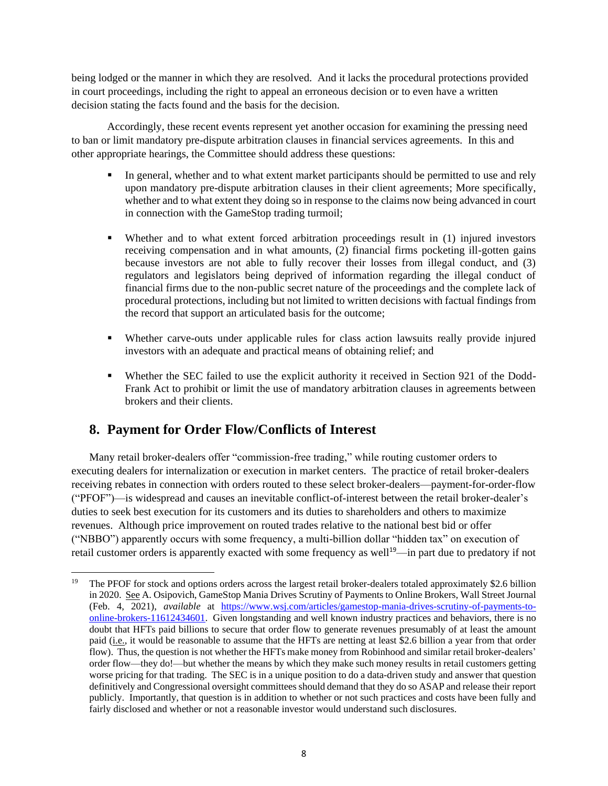being lodged or the manner in which they are resolved. And it lacks the procedural protections provided in court proceedings, including the right to appeal an erroneous decision or to even have a written decision stating the facts found and the basis for the decision.

Accordingly, these recent events represent yet another occasion for examining the pressing need to ban or limit mandatory pre-dispute arbitration clauses in financial services agreements. In this and other appropriate hearings, the Committee should address these questions:

- **•** In general, whether and to what extent market participants should be permitted to use and rely upon mandatory pre-dispute arbitration clauses in their client agreements; More specifically, whether and to what extent they doing so in response to the claims now being advanced in court in connection with the GameStop trading turmoil;
- Whether and to what extent forced arbitration proceedings result in (1) injured investors receiving compensation and in what amounts, (2) financial firms pocketing ill-gotten gains because investors are not able to fully recover their losses from illegal conduct, and (3) regulators and legislators being deprived of information regarding the illegal conduct of financial firms due to the non-public secret nature of the proceedings and the complete lack of procedural protections, including but not limited to written decisions with factual findings from the record that support an articulated basis for the outcome;
- Whether carve-outs under applicable rules for class action lawsuits really provide injured investors with an adequate and practical means of obtaining relief; and
- Whether the SEC failed to use the explicit authority it received in Section 921 of the Dodd-Frank Act to prohibit or limit the use of mandatory arbitration clauses in agreements between brokers and their clients.

## <span id="page-7-0"></span>**8. Payment for Order Flow/Conflicts of Interest**

Many retail broker-dealers offer "commission-free trading," while routing customer orders to executing dealers for internalization or execution in market centers. The practice of retail broker-dealers receiving rebates in connection with orders routed to these select broker-dealers—payment-for-order-flow ("PFOF")—is widespread and causes an inevitable conflict-of-interest between the retail broker-dealer's duties to seek best execution for its customers and its duties to shareholders and others to maximize revenues. Although price improvement on routed trades relative to the national best bid or offer ("NBBO") apparently occurs with some frequency, a multi-billion dollar "hidden tax" on execution of retail customer orders is apparently exacted with some frequency as well<sup>19</sup>—in part due to predatory if not

<sup>19</sup> The PFOF for stock and options orders across the largest retail broker-dealers totaled approximately \$2.6 billion in 2020. See A. Osipovich, GameStop Mania Drives Scrutiny of Payments to Online Brokers, Wall Street Journal (Feb. 4, 2021), *available* at [https://www.wsj.com/articles/gamestop-mania-drives-scrutiny-of-payments-to](https://www.wsj.com/articles/gamestop-mania-drives-scrutiny-of-payments-to-online-brokers-11612434601)[online-brokers-11612434601.](https://www.wsj.com/articles/gamestop-mania-drives-scrutiny-of-payments-to-online-brokers-11612434601) Given longstanding and well known industry practices and behaviors, there is no doubt that HFTs paid billions to secure that order flow to generate revenues presumably of at least the amount paid (i.e., it would be reasonable to assume that the HFTs are netting at least \$2.6 billion a year from that order flow). Thus, the question is not whether the HFTs make money from Robinhood and similar retail broker-dealers' order flow—they do!—but whether the means by which they make such money results in retail customers getting worse pricing for that trading. The SEC is in a unique position to do a data-driven study and answer that question definitively and Congressional oversight committees should demand that they do so ASAP and release their report publicly. Importantly, that question is in addition to whether or not such practices and costs have been fully and fairly disclosed and whether or not a reasonable investor would understand such disclosures.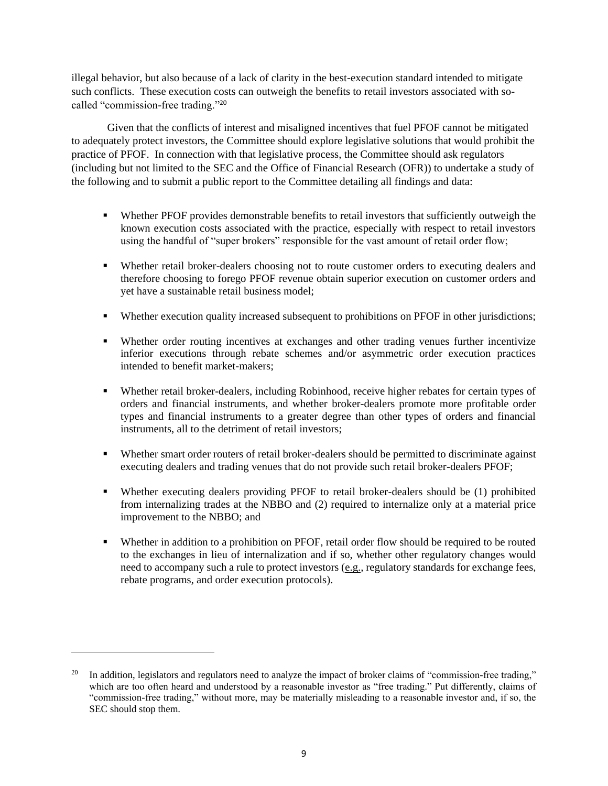illegal behavior, but also because of a lack of clarity in the best-execution standard intended to mitigate such conflicts. These execution costs can outweigh the benefits to retail investors associated with socalled "commission-free trading."<sup>20</sup>

Given that the conflicts of interest and misaligned incentives that fuel PFOF cannot be mitigated to adequately protect investors, the Committee should explore legislative solutions that would prohibit the practice of PFOF. In connection with that legislative process, the Committee should ask regulators (including but not limited to the SEC and the Office of Financial Research (OFR)) to undertake a study of the following and to submit a public report to the Committee detailing all findings and data:

- Whether PFOF provides demonstrable benefits to retail investors that sufficiently outweigh the known execution costs associated with the practice, especially with respect to retail investors using the handful of "super brokers" responsible for the vast amount of retail order flow;
- Whether retail broker-dealers choosing not to route customer orders to executing dealers and therefore choosing to forego PFOF revenue obtain superior execution on customer orders and yet have a sustainable retail business model;
- Whether execution quality increased subsequent to prohibitions on PFOF in other jurisdictions;
- Whether order routing incentives at exchanges and other trading venues further incentivize inferior executions through rebate schemes and/or asymmetric order execution practices intended to benefit market-makers;
- Whether retail broker-dealers, including Robinhood, receive higher rebates for certain types of orders and financial instruments, and whether broker-dealers promote more profitable order types and financial instruments to a greater degree than other types of orders and financial instruments, all to the detriment of retail investors;
- Whether smart order routers of retail broker-dealers should be permitted to discriminate against executing dealers and trading venues that do not provide such retail broker-dealers PFOF;
- Whether executing dealers providing PFOF to retail broker-dealers should be (1) prohibited from internalizing trades at the NBBO and (2) required to internalize only at a material price improvement to the NBBO; and
- Whether in addition to a prohibition on PFOF, retail order flow should be required to be routed to the exchanges in lieu of internalization and if so, whether other regulatory changes would need to accompany such a rule to protect investors (e.g., regulatory standards for exchange fees, rebate programs, and order execution protocols).

In addition, legislators and regulators need to analyze the impact of broker claims of "commission-free trading," which are too often heard and understood by a reasonable investor as "free trading." Put differently, claims of "commission-free trading," without more, may be materially misleading to a reasonable investor and, if so, the SEC should stop them.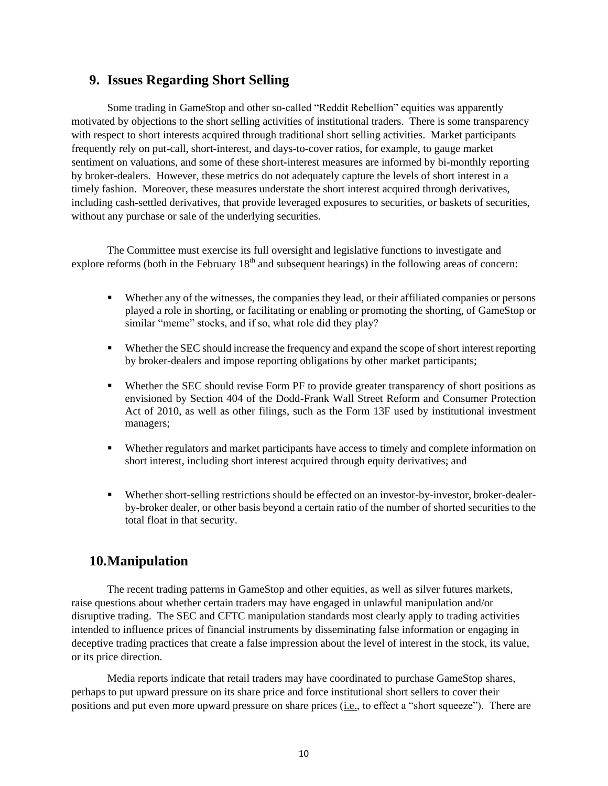### <span id="page-9-0"></span>**9. Issues Regarding Short Selling**

Some trading in GameStop and other so-called "Reddit Rebellion" equities was apparently motivated by objections to the short selling activities of institutional traders. There is some transparency with respect to short interests acquired through traditional short selling activities. Market participants frequently rely on put-call, short-interest, and days-to-cover ratios, for example, to gauge market sentiment on valuations, and some of these short-interest measures are informed by bi-monthly reporting by broker-dealers. However, these metrics do not adequately capture the levels of short interest in a timely fashion. Moreover, these measures understate the short interest acquired through derivatives, including cash-settled derivatives, that provide leveraged exposures to securities, or baskets of securities, without any purchase or sale of the underlying securities.

The Committee must exercise its full oversight and legislative functions to investigate and explore reforms (both in the February  $18<sup>th</sup>$  and subsequent hearings) in the following areas of concern:

- Whether any of the witnesses, the companies they lead, or their affiliated companies or persons played a role in shorting, or facilitating or enabling or promoting the shorting, of GameStop or similar "meme" stocks, and if so, what role did they play?
- Whether the SEC should increase the frequency and expand the scope of short interest reporting by broker-dealers and impose reporting obligations by other market participants;
- Whether the SEC should revise Form PF to provide greater transparency of short positions as envisioned by Section 404 of the Dodd-Frank Wall Street Reform and Consumer Protection Act of 2010, as well as other filings, such as the Form 13F used by institutional investment managers;
- Whether regulators and market participants have access to timely and complete information on short interest, including short interest acquired through equity derivatives; and
- Whether short-selling restrictions should be effected on an investor-by-investor, broker-dealerby-broker dealer, or other basis beyond a certain ratio of the number of shorted securities to the total float in that security.

## <span id="page-9-1"></span>**10.Manipulation**

The recent trading patterns in GameStop and other equities, as well as silver futures markets, raise questions about whether certain traders may have engaged in unlawful manipulation and/or disruptive trading. The SEC and CFTC manipulation standards most clearly apply to trading activities intended to influence prices of financial instruments by disseminating false information or engaging in deceptive trading practices that create a false impression about the level of interest in the stock, its value, or its price direction.

Media reports indicate that retail traders may have coordinated to purchase GameStop shares, perhaps to put upward pressure on its share price and force institutional short sellers to cover their positions and put even more upward pressure on share prices (i.e., to effect a "short squeeze"). There are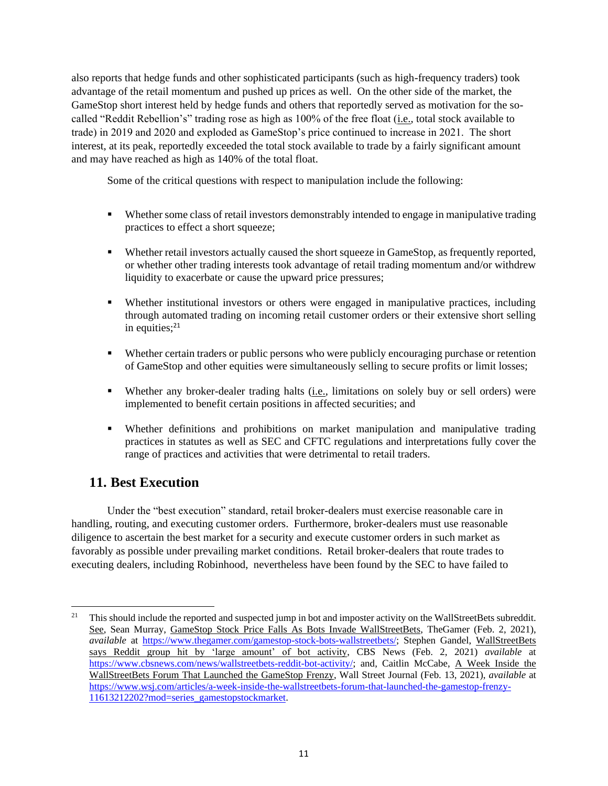also reports that hedge funds and other sophisticated participants (such as high-frequency traders) took advantage of the retail momentum and pushed up prices as well. On the other side of the market, the GameStop short interest held by hedge funds and others that reportedly served as motivation for the socalled "Reddit Rebellion's" trading rose as high as 100% of the free float (i.e., total stock available to trade) in 2019 and 2020 and exploded as GameStop's price continued to increase in 2021. The short interest, at its peak, reportedly exceeded the total stock available to trade by a fairly significant amount and may have reached as high as 140% of the total float.

Some of the critical questions with respect to manipulation include the following:

- Whether some class of retail investors demonstrably intended to engage in manipulative trading practices to effect a short squeeze;
- Whether retail investors actually caused the short squeeze in GameStop, as frequently reported, or whether other trading interests took advantage of retail trading momentum and/or withdrew liquidity to exacerbate or cause the upward price pressures;
- Whether institutional investors or others were engaged in manipulative practices, including through automated trading on incoming retail customer orders or their extensive short selling in equities; $21$
- Whether certain traders or public persons who were publicly encouraging purchase or retention of GameStop and other equities were simultaneously selling to secure profits or limit losses;
- Whether any broker-dealer trading halts (i.e., limitations on solely buy or sell orders) were implemented to benefit certain positions in affected securities; and
- Whether definitions and prohibitions on market manipulation and manipulative trading practices in statutes as well as SEC and CFTC regulations and interpretations fully cover the range of practices and activities that were detrimental to retail traders.

## <span id="page-10-0"></span>**11. Best Execution**

Under the "best execution" standard, retail broker-dealers must exercise reasonable care in handling, routing, and executing customer orders. Furthermore, broker-dealers must use reasonable diligence to ascertain the best market for a security and execute customer orders in such market as favorably as possible under prevailing market conditions. Retail broker-dealers that route trades to executing dealers, including Robinhood, nevertheless have been found by the SEC to have failed to

<sup>&</sup>lt;sup>21</sup> This should include the reported and suspected jump in bot and imposter activity on the WallStreetBets subreddit. See, Sean Murray, GameStop Stock Price Falls As Bots Invade WallStreetBets, TheGamer (Feb. 2, 2021), *available* at [https://www.thegamer.com/gamestop-stock-bots-wallstreetbets/;](https://www.thegamer.com/gamestop-stock-bots-wallstreetbets/) Stephen Gandel, WallStreetBets says Reddit group hit by 'large amount' of bot activity, CBS News (Feb. 2, 2021) *available* at [https://www.cbsnews.com/news/wallstreetbets-reddit-bot-activity/;](https://www.cbsnews.com/news/wallstreetbets-reddit-bot-activity/) and, Caitlin McCabe, A Week Inside the WallStreetBets Forum That Launched the GameStop Frenzy, Wall Street Journal (Feb. 13, 2021), *available* at [https://www.wsj.com/articles/a-week-inside-the-wallstreetbets-forum-that-launched-the-gamestop-frenzy-](https://www.wsj.com/articles/a-week-inside-the-wallstreetbets-forum-that-launched-the-gamestop-frenzy-11613212202?mod=series_gamestopstockmarket)[11613212202?mod=series\\_gamestopstockmarket.](https://www.wsj.com/articles/a-week-inside-the-wallstreetbets-forum-that-launched-the-gamestop-frenzy-11613212202?mod=series_gamestopstockmarket)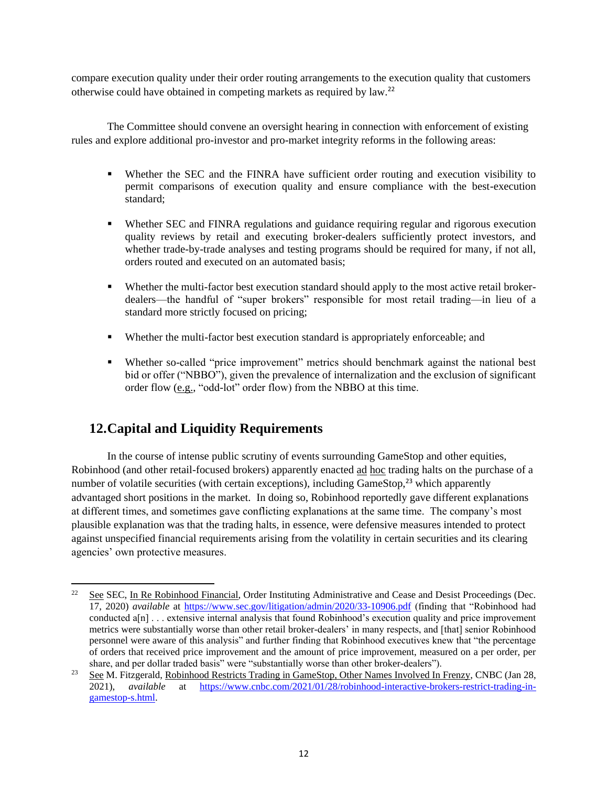compare execution quality under their order routing arrangements to the execution quality that customers otherwise could have obtained in competing markets as required by law.<sup>22</sup>

The Committee should convene an oversight hearing in connection with enforcement of existing rules and explore additional pro-investor and pro-market integrity reforms in the following areas:

- Whether the SEC and the FINRA have sufficient order routing and execution visibility to permit comparisons of execution quality and ensure compliance with the best-execution standard;
- **•** Whether SEC and FINRA regulations and guidance requiring regular and rigorous execution quality reviews by retail and executing broker-dealers sufficiently protect investors, and whether trade-by-trade analyses and testing programs should be required for many, if not all, orders routed and executed on an automated basis;
- Whether the multi-factor best execution standard should apply to the most active retail brokerdealers—the handful of "super brokers" responsible for most retail trading—in lieu of a standard more strictly focused on pricing;
- Whether the multi-factor best execution standard is appropriately enforceable; and
- Whether so-called "price improvement" metrics should benchmark against the national best bid or offer ("NBBO"), given the prevalence of internalization and the exclusion of significant order flow (e.g., "odd-lot" order flow) from the NBBO at this time.

## <span id="page-11-0"></span>**12.Capital and Liquidity Requirements**

In the course of intense public scrutiny of events surrounding GameStop and other equities, Robinhood (and other retail-focused brokers) apparently enacted ad hoc trading halts on the purchase of a number of volatile securities (with certain exceptions), including GameStop,<sup>23</sup> which apparently advantaged short positions in the market. In doing so, Robinhood reportedly gave different explanations at different times, and sometimes gave conflicting explanations at the same time. The company's most plausible explanation was that the trading halts, in essence, were defensive measures intended to protect against unspecified financial requirements arising from the volatility in certain securities and its clearing agencies' own protective measures.

<sup>&</sup>lt;sup>22</sup> See SEC, In Re Robinhood Financial, Order Instituting Administrative and Cease and Desist Proceedings (Dec. 17, 2020) *available* at <https://www.sec.gov/litigation/admin/2020/33-10906.pdf> (finding that "Robinhood had conducted a[n] . . . extensive internal analysis that found Robinhood's execution quality and price improvement metrics were substantially worse than other retail broker-dealers' in many respects, and [that] senior Robinhood personnel were aware of this analysis" and further finding that Robinhood executives knew that "the percentage of orders that received price improvement and the amount of price improvement, measured on a per order, per share, and per dollar traded basis" were "substantially worse than other broker-dealers").

<sup>&</sup>lt;sup>23</sup> See M. Fitzgerald, Robinhood Restricts Trading in GameStop, Other Names Involved In Frenzy, CNBC (Jan 28, 2021), *available* at [https://www.cnbc.com/2021/01/28/robinhood-interactive-brokers-restrict-trading-in](https://www.cnbc.com/2021/01/28/robinhood-interactive-brokers-restrict-trading-in-gamestop-s.html)[gamestop-s.html.](https://www.cnbc.com/2021/01/28/robinhood-interactive-brokers-restrict-trading-in-gamestop-s.html)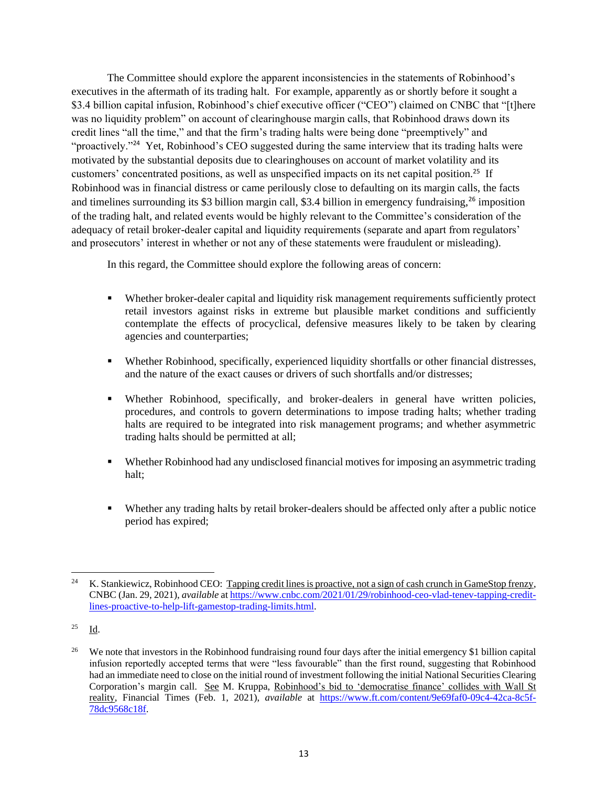The Committee should explore the apparent inconsistencies in the statements of Robinhood's executives in the aftermath of its trading halt. For example, apparently as or shortly before it sought a \$3.4 billion capital infusion, Robinhood's chief executive officer ("CEO") claimed on CNBC that "[t]here was no liquidity problem" on account of clearinghouse margin calls, that Robinhood draws down its credit lines "all the time," and that the firm's trading halts were being done "preemptively" and "proactively."<sup>24</sup> Yet, Robinhood's CEO suggested during the same interview that its trading halts were motivated by the substantial deposits due to clearinghouses on account of market volatility and its customers' concentrated positions, as well as unspecified impacts on its net capital position.<sup>25</sup> If Robinhood was in financial distress or came perilously close to defaulting on its margin calls, the facts and timelines surrounding its \$3 billion margin call, \$3.4 billion in emergency fundraising,<sup>26</sup> imposition of the trading halt, and related events would be highly relevant to the Committee's consideration of the adequacy of retail broker-dealer capital and liquidity requirements (separate and apart from regulators' and prosecutors' interest in whether or not any of these statements were fraudulent or misleading).

In this regard, the Committee should explore the following areas of concern:

- Whether broker-dealer capital and liquidity risk management requirements sufficiently protect retail investors against risks in extreme but plausible market conditions and sufficiently contemplate the effects of procyclical, defensive measures likely to be taken by clearing agencies and counterparties;
- Whether Robinhood, specifically, experienced liquidity shortfalls or other financial distresses, and the nature of the exact causes or drivers of such shortfalls and/or distresses;
- Whether Robinhood, specifically, and broker-dealers in general have written policies, procedures, and controls to govern determinations to impose trading halts; whether trading halts are required to be integrated into risk management programs; and whether asymmetric trading halts should be permitted at all;
- Whether Robinhood had any undisclosed financial motives for imposing an asymmetric trading halt;
- Whether any trading halts by retail broker-dealers should be affected only after a public notice period has expired;

<sup>&</sup>lt;sup>24</sup> K. Stankiewicz, Robinhood CEO: Tapping credit lines is proactive, not a sign of cash crunch in GameStop frenzy, CNBC (Jan. 29, 2021), *available* at [https://www.cnbc.com/2021/01/29/robinhood-ceo-vlad-tenev-tapping-credit](https://www.cnbc.com/2021/01/29/robinhood-ceo-vlad-tenev-tapping-credit-lines-proactive-to-help-lift-gamestop-trading-limits.html)[lines-proactive-to-help-lift-gamestop-trading-limits.html.](https://www.cnbc.com/2021/01/29/robinhood-ceo-vlad-tenev-tapping-credit-lines-proactive-to-help-lift-gamestop-trading-limits.html)

 $25$  Id.

<sup>26</sup> We note that investors in the Robinhood fundraising round four days after the initial emergency \$1 billion capital infusion reportedly accepted terms that were "less favourable" than the first round, suggesting that Robinhood had an immediate need to close on the initial round of investment following the initial National Securities Clearing Corporation's margin call. See M. Kruppa, Robinhood's bid to 'democratise finance' collides with Wall St reality, Financial Times (Feb. 1, 2021), *available* at [https://www.ft.com/content/9e69faf0-09c4-42ca-8c5f-](https://www.ft.com/content/9e69faf0-09c4-42ca-8c5f-78dc9568c18f)[78dc9568c18f.](https://www.ft.com/content/9e69faf0-09c4-42ca-8c5f-78dc9568c18f)